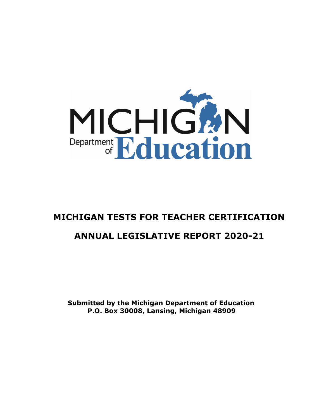

# **MICHIGAN TESTS FOR TEACHER CERTIFICATION ANNUAL LEGISLATIVE REPORT 2020-21**

**Submitted by the Michigan Department of Education P.O. Box 30008, Lansing, Michigan 48909**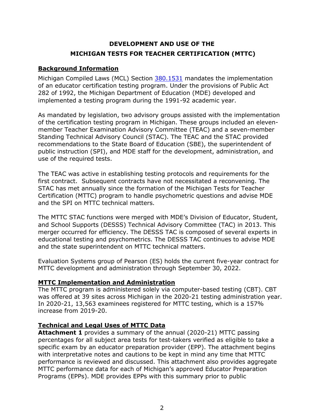# **DEVELOPMENT AND USE OF THE MICHIGAN TESTS FOR TEACHER CERTIFICATION (MTTC)**

## **Background Information**

Michigan Compiled Laws (MCL) Section [380.1531](http://legislature.mi.gov/doc.aspx?mcl-380-1531) mandates the implementation of an educator certification testing program. Under the provisions of Public Act 282 of 1992, the Michigan Department of Education (MDE) developed and implemented a testing program during the 1991-92 academic year.

As mandated by legislation, two advisory groups assisted with the implementation of the certification testing program in Michigan. These groups included an elevenmember Teacher Examination Advisory Committee (TEAC) and a seven-member Standing Technical Advisory Council (STAC). The TEAC and the STAC provided recommendations to the State Board of Education (SBE), the superintendent of public instruction (SPI), and MDE staff for the development, administration, and use of the required tests.

The TEAC was active in establishing testing protocols and requirements for the first contract. Subsequent contracts have not necessitated a reconvening. The STAC has met annually since the formation of the Michigan Tests for Teacher Certification (MTTC) program to handle psychometric questions and advise MDE and the SPI on MTTC technical matters.

The MTTC STAC functions were merged with MDE's Division of Educator, Student, and School Supports (DESSS) Technical Advisory Committee (TAC) in 2013. This merger occurred for efficiency. The DESSS TAC is composed of several experts in educational testing and psychometrics. The DESSS TAC continues to advise MDE and the state superintendent on MTTC technical matters.

Evaluation Systems group of Pearson (ES) holds the current five-year contract for MTTC development and administration through September 30, 2022.

## **MTTC Implementation and Administration**

The MTTC program is administered solely via computer-based testing (CBT). CBT was offered at 39 sites across Michigan in the 2020-21 testing administration year. In 2020-21, 13,563 examinees registered for MTTC testing, which is a 157% increase from 2019-20.

## **Technical and Legal Uses of MTTC Data**

**Attachment 1** provides a summary of the annual (2020-21) MTTC passing percentages for all subject area tests for test-takers verified as eligible to take a specific exam by an educator preparation provider (EPP). The attachment begins with interpretative notes and cautions to be kept in mind any time that MTTC performance is reviewed and discussed. This attachment also provides aggregate MTTC performance data for each of Michigan's approved Educator Preparation Programs (EPPs). MDE provides EPPs with this summary prior to public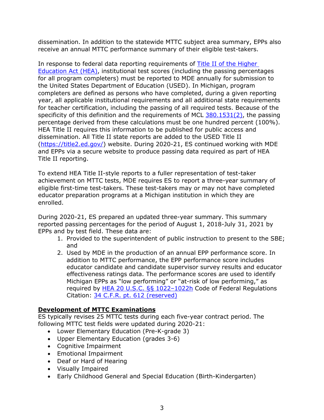dissemination. In addition to the statewide MTTC subject area summary, EPPs also receive an annual MTTC performance summary of their eligible test-takers.

In response to federal data reporting requirements of Title II [of the Higher](https://www.govinfo.gov/content/pkg/PLAW-110publ315/pdf/PLAW-110publ315.pdf)  [Education Act](https://www.govinfo.gov/content/pkg/PLAW-110publ315/pdf/PLAW-110publ315.pdf) (HEA), institutional test scores (including the passing percentages for all program completers) must be reported to MDE annually for submission to the United States Department of Education (USED). In Michigan, program completers are defined as persons who have completed, during a given reporting year, all applicable institutional requirements and all additional state requirements for teacher certification, including the passing of all required tests. Because of the specificity of this definition and the requirements of MCL  $380.1531(2)$ , the passing percentage derived from these calculations must be one hundred percent (100%). HEA Title II requires this information to be published for public access and dissemination. All Title II state reports are added to the USED Title II [\(https://title2.ed.gov/\)](https://title2.ed.gov/) website. During 2020-21, ES continued working with MDE and EPPs via a secure website to produce passing data required as part of HEA Title II reporting.

To extend HEA Title II-style reports to a fuller representation of test-taker achievement on MTTC tests, MDE requires ES to report a three-year summary of eligible first-time test-takers. These test-takers may or may not have completed educator preparation programs at a Michigan institution in which they are enrolled.

During 2020-21, ES prepared an updated three-year summary. This summary reported passing percentages for the period of August 1, 2018-July 31, 2021 by EPPs and by test field. These data are:

- 1. Provided to the superintendent of public instruction to present to the SBE; and
- 2. Used by MDE in the production of an annual EPP performance score. In addition to MTTC performance, the EPP performance score includes educator candidate and candidate supervisor survey results and educator effectiveness ratings data. The performance scores are used to identify Michigan EPPs as "low performing" or "at-risk of low performing," as required by HEA 20 U.S.C. §§ 1022-1022h Code of Federal Regulations Citation: [34 C.F.R. pt. 612 \(reserved\)](https://www.govinfo.gov/content/pkg/FR-2017-05-09/pdf/2017-09351.pdf)

## **Development of MTTC Examinations**

ES typically revises 25 MTTC tests during each five-year contract period. The following MTTC test fields were updated during 2020-21:

- Lower Elementary Education (Pre-K-grade 3)
- Upper Elementary Education (grades 3-6)
- Cognitive Impairment
- Emotional Impairment
- Deaf or Hard of Hearing
- Visually Impaired
- Early Childhood General and Special Education (Birth-Kindergarten)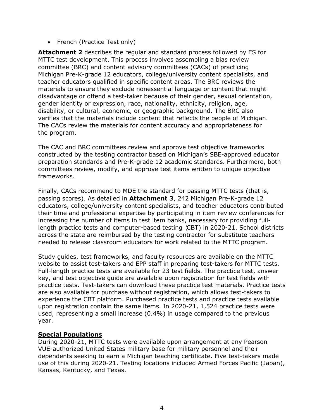• French (Practice Test only)

**Attachment 2** describes the regular and standard process followed by ES for MTTC test development. This process involves assembling a bias review committee (BRC) and content advisory committees (CACs) of practicing Michigan Pre-K-grade 12 educators, college/university content specialists, and teacher educators qualified in specific content areas. The BRC reviews the materials to ensure they exclude nonessential language or content that might disadvantage or offend a test-taker because of their gender, sexual orientation, gender identity or expression, race, nationality, ethnicity, religion, age, disability, or cultural, economic, or geographic background. The BRC also verifies that the materials include content that reflects the people of Michigan. The CACs review the materials for content accuracy and appropriateness for the program.

The CAC and BRC committees review and approve test objective frameworks constructed by the testing contractor based on Michigan's SBE-approved educator preparation standards and Pre-K-grade 12 academic standards. Furthermore, both committees review, modify, and approve test items written to unique objective frameworks.

Finally, CACs recommend to MDE the standard for passing MTTC tests (that is, passing scores). As detailed in **Attachment 3**, 242 Michigan Pre-K-grade 12 educators, college/university content specialists, and teacher educators contributed their time and professional expertise by participating in item review conferences for increasing the number of items in test item banks, necessary for providing fulllength practice tests and computer-based testing (CBT) in 2020-21. School districts across the state are reimbursed by the testing contractor for substitute teachers needed to release classroom educators for work related to the MTTC program.

Study guides, test frameworks, and faculty resources are available on the MTTC website to assist test-takers and EPP staff in preparing test-takers for MTTC tests. Full-length practice tests are available for 23 test fields. The practice test, answer key, and test objective guide are available upon registration for test fields with practice tests. Test-takers can download these practice test materials. Practice tests are also available for purchase without registration, which allows test-takers to experience the CBT platform. Purchased practice tests and practice tests available upon registration contain the same items. In 2020-21, 1,524 practice tests were used, representing a small increase (0.4%) in usage compared to the previous year.

## **Special Populations**

During 2020-21, MTTC tests were available upon arrangement at any Pearson VUE-authorized United States military base for military personnel and their dependents seeking to earn a Michigan teaching certificate. Five test-takers made use of this during 2020-21. Testing locations included Armed Forces Pacific (Japan), Kansas, Kentucky, and Texas.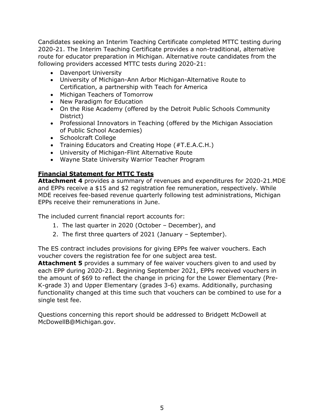Candidates seeking an Interim Teaching Certificate completed MTTC testing during 2020-21. The Interim Teaching Certificate provides a non-traditional, alternative route for educator preparation in Michigan. Alternative route candidates from the following providers accessed MTTC tests during 2020-21:

- Davenport University
- University of Michigan-Ann Arbor Michigan-Alternative Route to Certification, a partnership with Teach for America
- Michigan Teachers of Tomorrow
- New Paradigm for Education
- On the Rise Academy (offered by the Detroit Public Schools Community District)
- Professional Innovators in Teaching (offered by the Michigan Association of Public School Academies)
- Schoolcraft College
- Training Educators and Creating Hope (#T.E.A.C.H.)
- University of Michigan-Flint Alternative Route
- Wayne State University Warrior Teacher Program

## **Financial Statement for MTTC Tests**

**Attachment 4** provides a summary of revenues and expenditures for 2020-21.MDE and EPPs receive a \$15 and \$2 registration fee remuneration, respectively. While MDE receives fee-based revenue quarterly following test administrations, Michigan EPPs receive their remunerations in June.

The included current financial report accounts for:

- 1. The last quarter in 2020 (October December), and
- 2. The first three quarters of 2021 (January September).

The ES contract includes provisions for giving EPPs fee waiver vouchers. Each voucher covers the registration fee for one subject area test.

**Attachment 5** provides a summary of fee waiver vouchers given to and used by each EPP during 2020-21. Beginning September 2021, EPPs received vouchers in the amount of \$69 to reflect the change in pricing for the Lower Elementary (Pre-K-grade 3) and Upper Elementary (grades 3-6) exams. Additionally, purchasing functionality changed at this time such that vouchers can be combined to use for a single test fee.

Questions concerning this report should be addressed to Bridgett McDowell at McDowellB@Michigan.gov.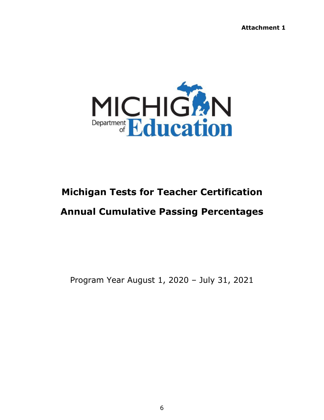**Attachment 1**



# **Michigan Tests for Teacher Certification Annual Cumulative Passing Percentages**

Program Year August 1, 2020 – July 31, 2021

6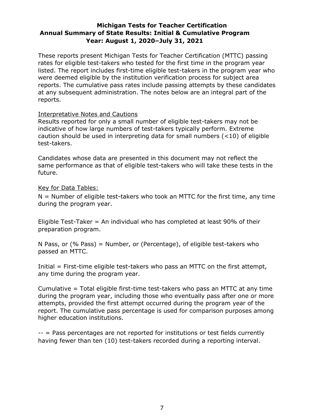## **Michigan Tests for Teacher Certification Annual Summary of State Results: Initial & Cumulative Program Year: August 1, 2020–July 31, 2021**

These reports present Michigan Tests for Teacher Certification (MTTC) passing rates for eligible test-takers who tested for the first time in the program year listed. The report includes first-time eligible test-takers in the program year who were deemed eligible by the institution verification process for subject area reports. The cumulative pass rates include passing attempts by these candidates at any subsequent administration. The notes below are an integral part of the reports.

#### Interpretative Notes and Cautions

Results reported for only a small number of eligible test-takers may not be indicative of how large numbers of test-takers typically perform. Extreme caution should be used in interpreting data for small numbers (<10) of eligible test-takers.

Candidates whose data are presented in this document may not reflect the same performance as that of eligible test-takers who will take these tests in the future.

#### Key for Data Tables:

 $N =$  Number of eligible test-takers who took an MTTC for the first time, any time during the program year.

Eligible Test-Taker = An individual who has completed at least 90% of their preparation program.

N Pass, or (% Pass) = Number, or (Percentage), of eligible test-takers who passed an MTTC.

Initial = First-time eligible test-takers who pass an MTTC on the first attempt, any time during the program year.

Cumulative = Total eligible first-time test-takers who pass an MTTC at any time during the program year, including those who eventually pass after one or more attempts, provided the first attempt occurred during the program year of the report. The cumulative pass percentage is used for comparison purposes among higher education institutions.

-- = Pass percentages are not reported for institutions or test fields currently having fewer than ten (10) test-takers recorded during a reporting interval.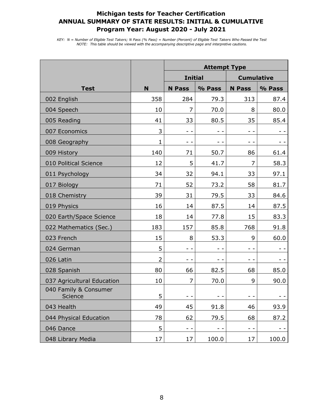|                                  |                | <b>Attempt Type</b> |        |                   |        |
|----------------------------------|----------------|---------------------|--------|-------------------|--------|
|                                  |                | <b>Initial</b>      |        | <b>Cumulative</b> |        |
| <b>Test</b>                      | N              | <b>N</b> Pass       | % Pass | <b>N</b> Pass     | % Pass |
| 002 English                      | 358            | 284                 | 79.3   | 313               | 87.4   |
| 004 Speech                       | 10             | 7                   | 70.0   | 8                 | 80.0   |
| 005 Reading                      | 41             | 33                  | 80.5   | 35                | 85.4   |
| 007 Economics                    | 3              | - -                 |        | $ -$              |        |
| 008 Geography                    | $\mathbf{1}$   | - -                 | - -    | - -               |        |
| 009 History                      | 140            | 71                  | 50.7   | 86                | 61.4   |
| 010 Political Science            | 12             | 5                   | 41.7   | 7                 | 58.3   |
| 011 Psychology                   | 34             | 32                  | 94.1   | 33                | 97.1   |
| 017 Biology                      | 71             | 52                  | 73.2   | 58                | 81.7   |
| 018 Chemistry                    | 39             | 31                  | 79.5   | 33                | 84.6   |
| 019 Physics                      | 16             | 14                  | 87.5   | 14                | 87.5   |
| 020 Earth/Space Science          | 18             | 14                  | 77.8   | 15                | 83.3   |
| 022 Mathematics (Sec.)           | 183            | 157                 | 85.8   | 768               | 91.8   |
| 023 French                       | 15             | 8                   | 53.3   | 9                 | 60.0   |
| 024 German                       | 5              |                     |        | - -               |        |
| 026 Latin                        | $\overline{2}$ |                     | - -    | - -               | - -    |
| 028 Spanish                      | 80             | 66                  | 82.5   | 68                | 85.0   |
| 037 Agricultural Education       | 10             | $\overline{7}$      | 70.0   | 9                 | 90.0   |
| 040 Family & Consumer<br>Science | 5              |                     | $ -$   | $ -$              |        |
| 043 Health                       | 49             | 45                  | 91.8   | 46                | 93.9   |
| 044 Physical Education           | 78             | 62                  | 79.5   | 68                | 87.2   |
| 046 Dance                        | 5              | $ -$                | $ -$   | $ -$              | $ -$   |
| 048 Library Media                | 17             | 17                  | 100.0  | 17                | 100.0  |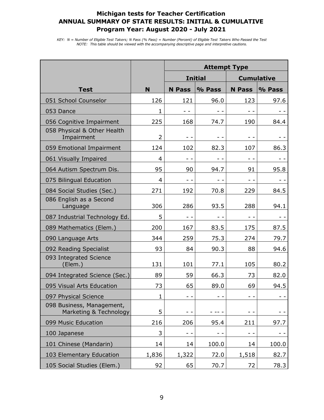|                                                     |                | <b>Attempt Type</b> |                |               |                   |
|-----------------------------------------------------|----------------|---------------------|----------------|---------------|-------------------|
|                                                     |                |                     | <b>Initial</b> |               | <b>Cumulative</b> |
| <b>Test</b>                                         | N              | <b>N</b> Pass       | % Pass         | <b>N</b> Pass | % Pass            |
| 051 School Counselor                                | 126            | 121                 | 96.0           | 123           | 97.6              |
| 053 Dance                                           | 1              |                     |                |               |                   |
| 056 Cognitive Impairment                            | 225            | 168                 | 74.7           | 190           | 84.4              |
| 058 Physical & Other Health<br>Impairment           | $\overline{2}$ | - -                 |                | - -           |                   |
| 059 Emotional Impairment                            | 124            | 102                 | 82.3           | 107           | 86.3              |
| 061 Visually Impaired                               | 4              | - -                 | $ -$           | $ -$          | $ -$              |
| 064 Autism Spectrum Dis.                            | 95             | 90                  | 94.7           | 91            | 95.8              |
| 075 Bilingual Education                             | 4              | - -                 | - -            | $ -$          | - -               |
| 084 Social Studies (Sec.)                           | 271            | 192                 | 70.8           | 229           | 84.5              |
| 086 English as a Second<br>Language                 | 306            | 286                 | 93.5           | 288           | 94.1              |
| 087 Industrial Technology Ed.                       | 5              |                     |                | - -           | ÷ -               |
| 089 Mathematics (Elem.)                             | 200            | 167                 | 83.5           | 175           | 87.5              |
| 090 Language Arts                                   | 344            | 259                 | 75.3           | 274           | 79.7              |
| 092 Reading Specialist                              | 93             | 84                  | 90.3           | 88            | 94.6              |
| 093 Integrated Science<br>(Elem.)                   | 131            | 101                 | 77.1           | 105           | 80.2              |
| 094 Integrated Science (Sec.)                       | 89             | 59                  | 66.3           | 73            | 82.0              |
| 095 Visual Arts Education                           | 73             | 65                  | 89.0           | 69            | 94.5              |
| 097 Physical Science                                | 1              |                     |                |               |                   |
| 098 Business, Management,<br>Marketing & Technology | 5              |                     |                |               |                   |
| 099 Music Education                                 | 216            | 206                 | 95.4           | 211           | 97.7              |
| 100 Japanese                                        | 3              | - -                 | - -            | - -           | - -               |
| 101 Chinese (Mandarin)                              | 14             | 14                  | 100.0          | 14            | 100.0             |
| 103 Elementary Education                            | 1,836          | 1,322               | 72.0           | 1,518         | 82.7              |
| 105 Social Studies (Elem.)                          | 92             | 65                  | 70.7           | 72            | 78.3              |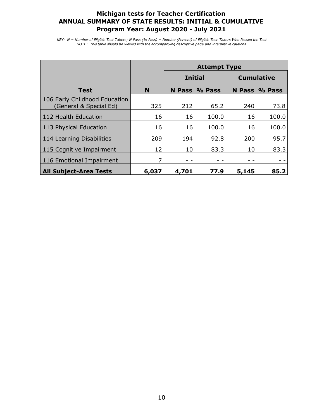|                                                         |       | <b>Attempt Type</b>                 |                  |        |        |
|---------------------------------------------------------|-------|-------------------------------------|------------------|--------|--------|
|                                                         |       | <b>Cumulative</b><br><b>Initial</b> |                  |        |        |
| <b>Test</b>                                             | N     |                                     | N Pass $\%$ Pass | N Pass | % Pass |
| 106 Early Childhood Education<br>(General & Special Ed) | 325   | 212                                 | 65.2             | 240    | 73.8   |
| 112 Health Education                                    | 16    | 16                                  | 100.0            | 16     | 100.0  |
| 113 Physical Education                                  | 16    | 16                                  | 100.0            | 16     | 100.0  |
| 114 Learning Disabilities                               | 209   | 194                                 | 92.8             | 200    | 95.7   |
| 115 Cognitive Impairment                                | 12    | 10                                  | 83.3             | 10     | 83.3   |
| 116 Emotional Impairment                                | 7     | - -                                 |                  |        |        |
| <b>All Subject-Area Tests</b>                           | 6,037 | 4,701                               | 77.9             | 5,145  | 85.2   |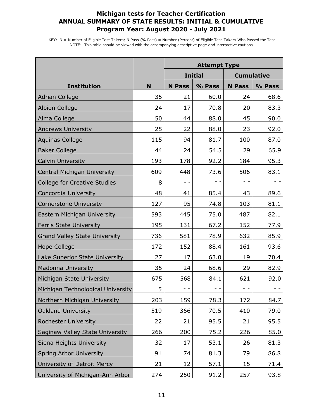|                                      |     | <b>Attempt Type</b> |                |               |                   |
|--------------------------------------|-----|---------------------|----------------|---------------|-------------------|
|                                      |     |                     | <b>Initial</b> |               | <b>Cumulative</b> |
| <b>Institution</b>                   | N   | <b>N</b> Pass       | % Pass         | <b>N</b> Pass | % Pass            |
| <b>Adrian College</b>                | 35  | 21                  | 60.0           | 24            | 68.6              |
| <b>Albion College</b>                | 24  | 17                  | 70.8           | 20            | 83.3              |
| Alma College                         | 50  | 44                  | 88.0           | 45            | 90.0              |
| <b>Andrews University</b>            | 25  | 22                  | 88.0           | 23            | 92.0              |
| <b>Aquinas College</b>               | 115 | 94                  | 81.7           | 100           | 87.0              |
| <b>Baker College</b>                 | 44  | 24                  | 54.5           | 29            | 65.9              |
| <b>Calvin University</b>             | 193 | 178                 | 92.2           | 184           | 95.3              |
| Central Michigan University          | 609 | 448                 | 73.6           | 506           | 83.1              |
| <b>College for Creative Studies</b>  | 8   | $ -$                | - -            | $ -$          | $ -$              |
| Concordia University                 | 48  | 41                  | 85.4           | 43            | 89.6              |
| <b>Cornerstone University</b>        | 127 | 95                  | 74.8           | 103           | 81.1              |
| Eastern Michigan University          | 593 | 445                 | 75.0           | 487           | 82.1              |
| <b>Ferris State University</b>       | 195 | 131                 | 67.2           | 152           | 77.9              |
| <b>Grand Valley State University</b> | 736 | 581                 | 78.9           | 632           | 85.9              |
| <b>Hope College</b>                  | 172 | 152                 | 88.4           | 161           | 93.6              |
| Lake Superior State University       | 27  | 17                  | 63.0           | 19            | 70.4              |
| <b>Madonna University</b>            | 35  | 24                  | 68.6           | 29            | 82.9              |
| Michigan State University            | 675 | 568                 | 84.1           | 621           | 92.0              |
| Michigan Technological University    | 5   |                     |                |               |                   |
| Northern Michigan University         | 203 | 159                 | 78.3           | 172           | 84.7              |
| Oakland University                   | 519 | 366                 | 70.5           | 410           | 79.0              |
| <b>Rochester University</b>          | 22  | 21                  | 95.5           | 21            | 95.5              |
| Saginaw Valley State University      | 266 | 200                 | 75.2           | 226           | 85.0              |
| Siena Heights University             | 32  | 17                  | 53.1           | 26            | 81.3              |
| Spring Arbor University              | 91  | 74                  | 81.3           | 79            | 86.8              |
| University of Detroit Mercy          | 21  | 12                  | 57.1           | 15            | 71.4              |
| University of Michigan-Ann Arbor     | 274 | 250                 | 91.2           | 257           | 93.8              |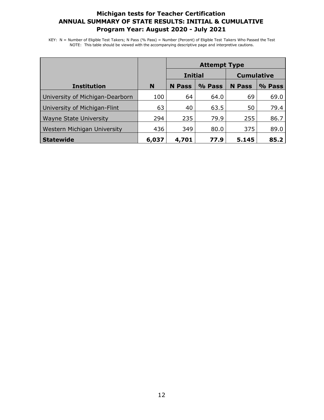|                                 |       | <b>Attempt Type</b> |        |                   |        |
|---------------------------------|-------|---------------------|--------|-------------------|--------|
|                                 |       | <b>Initial</b>      |        | <b>Cumulative</b> |        |
| <b>Institution</b>              | N     | <b>N</b> Pass       | % Pass | <b>N</b> Pass     | % Pass |
| University of Michigan-Dearborn | 100   | 64                  | 64.0   | 69                | 69.0   |
| University of Michigan-Flint    | 63    | 40                  | 63.5   | 50                | 79.4   |
| <b>Wayne State University</b>   | 294   | 235                 | 79.9   | 255               | 86.7   |
| Western Michigan University     | 436   | 349                 | 80.0   | 375               | 89.0   |
| <b>Statewide</b>                | 6,037 | 4,701               | 77.9   | 5.145             | 85.2   |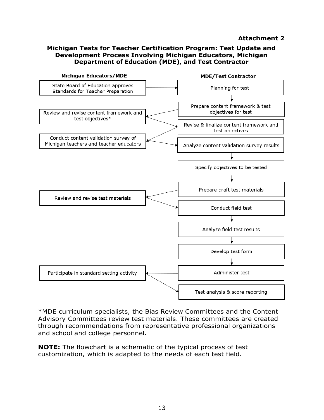#### **Attachment 2**

#### **Michigan Tests for Teacher Certification Program: Test Update and Development Process Involving Michigan Educators, Michigan Department of Education (MDE), and Test Contractor**



\*MDE curriculum specialists, the Bias Review Committees and the Content Advisory Committees review test materials. These committees are created through recommendations from representative professional organizations and school and college personnel.

**NOTE:** The flowchart is a schematic of the typical process of test customization, which is adapted to the needs of each test field.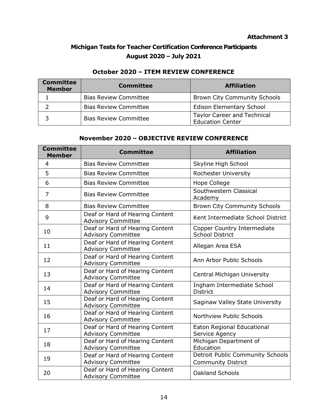#### **Attachment 3**

# **Michigan Tests for Teacher Certification Conference Participants August 2020 – July 2021**

# **October 2020 – ITEM REVIEW CONFERENCE**

| <b>Committee</b><br><b>Member</b> | <b>Committee</b>             | <b>Affiliation</b>                                            |
|-----------------------------------|------------------------------|---------------------------------------------------------------|
|                                   | <b>Bias Review Committee</b> | <b>Brown City Community Schools</b>                           |
|                                   | <b>Bias Review Committee</b> | <b>Edison Elementary School</b>                               |
|                                   | <b>Bias Review Committee</b> | <b>Taylor Career and Technical</b><br><b>Education Center</b> |

## **November 2020 – OBJECTIVE REVIEW CONFERENCE**

| <b>Committee</b><br><b>Member</b> | <b>Committee</b>                                             | <b>Affiliation</b>                                            |
|-----------------------------------|--------------------------------------------------------------|---------------------------------------------------------------|
| $\overline{4}$                    | <b>Bias Review Committee</b>                                 | Skyline High School                                           |
| 5                                 | <b>Bias Review Committee</b>                                 | Rochester University                                          |
| 6                                 | <b>Bias Review Committee</b>                                 | Hope College                                                  |
| $\overline{7}$                    | <b>Bias Review Committee</b>                                 | Southwestern Classical<br>Academy                             |
| 8                                 | <b>Bias Review Committee</b>                                 | <b>Brown City Community Schools</b>                           |
| 9                                 | Deaf or Hard of Hearing Content<br><b>Advisory Committee</b> | Kent Intermediate School District                             |
| 10                                | Deaf or Hard of Hearing Content<br><b>Advisory Committee</b> | Copper Country Intermediate<br><b>School District</b>         |
| 11                                | Deaf or Hard of Hearing Content<br><b>Advisory Committee</b> | Allegan Area ESA                                              |
| 12                                | Deaf or Hard of Hearing Content<br><b>Advisory Committee</b> | Ann Arbor Public Schools                                      |
| 13                                | Deaf or Hard of Hearing Content<br><b>Advisory Committee</b> | <b>Central Michigan University</b>                            |
| 14                                | Deaf or Hard of Hearing Content<br><b>Advisory Committee</b> | Ingham Intermediate School<br><b>District</b>                 |
| 15                                | Deaf or Hard of Hearing Content<br><b>Advisory Committee</b> | Saginaw Valley State University                               |
| 16                                | Deaf or Hard of Hearing Content<br><b>Advisory Committee</b> | Northview Public Schools                                      |
| 17                                | Deaf or Hard of Hearing Content<br><b>Advisory Committee</b> | Eaton Regional Educational<br>Service Agency                  |
| 18                                | Deaf or Hard of Hearing Content<br><b>Advisory Committee</b> | Michigan Department of<br>Education                           |
| 19                                | Deaf or Hard of Hearing Content<br><b>Advisory Committee</b> | Detroit Public Community Schools<br><b>Community District</b> |
| 20                                | Deaf or Hard of Hearing Content<br><b>Advisory Committee</b> | <b>Oakland Schools</b>                                        |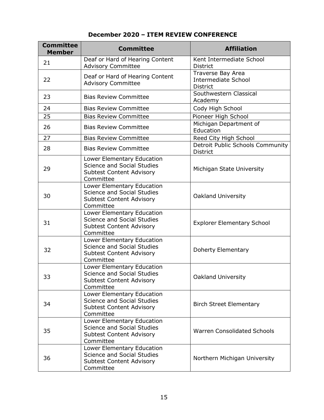# **December 2020 – ITEM REVIEW CONFERENCE**

| <b>Committee</b><br><b>Member</b> | <b>Committee</b>                                                                                                | <b>Affiliation</b>                                                 |
|-----------------------------------|-----------------------------------------------------------------------------------------------------------------|--------------------------------------------------------------------|
| 21                                | Deaf or Hard of Hearing Content<br><b>Advisory Committee</b>                                                    | Kent Intermediate School<br><b>District</b>                        |
| 22                                | Deaf or Hard of Hearing Content<br><b>Advisory Committee</b>                                                    | Traverse Bay Area<br><b>Intermediate School</b><br><b>District</b> |
| 23                                | <b>Bias Review Committee</b>                                                                                    | Southwestern Classical<br>Academy                                  |
| 24                                | <b>Bias Review Committee</b>                                                                                    | Cody High School                                                   |
| 25                                | <b>Bias Review Committee</b>                                                                                    | Pioneer High School                                                |
| 26                                | <b>Bias Review Committee</b>                                                                                    | Michigan Department of<br>Education                                |
| 27                                | <b>Bias Review Committee</b>                                                                                    | Reed City High School                                              |
| 28                                | <b>Bias Review Committee</b>                                                                                    | Detroit Public Schools Community<br><b>District</b>                |
| 29                                | Lower Elementary Education<br><b>Science and Social Studies</b><br><b>Subtest Content Advisory</b><br>Committee | Michigan State University                                          |
| 30                                | Lower Elementary Education<br><b>Science and Social Studies</b><br><b>Subtest Content Advisory</b><br>Committee | <b>Oakland University</b>                                          |
| 31                                | Lower Elementary Education<br><b>Science and Social Studies</b><br><b>Subtest Content Advisory</b><br>Committee | <b>Explorer Elementary School</b>                                  |
| 32                                | Lower Elementary Education<br><b>Science and Social Studies</b><br>Subtest Content Advisory<br>Committee        | Doherty Elementary                                                 |
| 33                                | Lower Elementary Education<br><b>Science and Social Studies</b><br><b>Subtest Content Advisory</b><br>Committee | Oakland University                                                 |
| 34                                | Lower Elementary Education<br><b>Science and Social Studies</b><br><b>Subtest Content Advisory</b><br>Committee | <b>Birch Street Elementary</b>                                     |
| 35                                | Lower Elementary Education<br><b>Science and Social Studies</b><br><b>Subtest Content Advisory</b><br>Committee | <b>Warren Consolidated Schools</b>                                 |
| 36                                | Lower Elementary Education<br><b>Science and Social Studies</b><br><b>Subtest Content Advisory</b><br>Committee | Northern Michigan University                                       |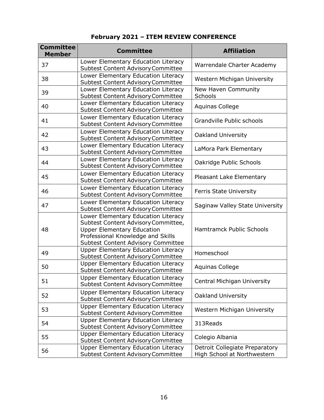| <b>Committee</b><br><b>Member</b> | <b>Committee</b>                                                                                                                                                                           | <b>Affiliation</b>                                            |
|-----------------------------------|--------------------------------------------------------------------------------------------------------------------------------------------------------------------------------------------|---------------------------------------------------------------|
| 37                                | Lower Elementary Education Literacy<br><b>Subtest Content Advisory Committee</b>                                                                                                           | Warrendale Charter Academy                                    |
| 38                                | Lower Elementary Education Literacy<br><b>Subtest Content Advisory Committee</b>                                                                                                           | Western Michigan University                                   |
| 39                                | Lower Elementary Education Literacy<br><b>Subtest Content Advisory Committee</b>                                                                                                           | New Haven Community<br>Schools                                |
| 40                                | Lower Elementary Education Literacy<br><b>Subtest Content Advisory Committee</b>                                                                                                           | <b>Aquinas College</b>                                        |
| 41                                | Lower Elementary Education Literacy<br><b>Subtest Content Advisory Committee</b>                                                                                                           | Grandville Public schools                                     |
| 42                                | Lower Elementary Education Literacy<br><b>Subtest Content Advisory Committee</b>                                                                                                           | Oakland University                                            |
| 43                                | Lower Elementary Education Literacy<br><b>Subtest Content Advisory Committee</b>                                                                                                           | LaMora Park Elementary                                        |
| 44                                | Lower Elementary Education Literacy<br><b>Subtest Content Advisory Committee</b>                                                                                                           | Oakridge Public Schools                                       |
| 45                                | Lower Elementary Education Literacy<br><b>Subtest Content Advisory Committee</b>                                                                                                           | Pleasant Lake Elementary                                      |
| 46                                | Lower Elementary Education Literacy<br><b>Subtest Content Advisory Committee</b>                                                                                                           | <b>Ferris State University</b>                                |
| 47                                | Lower Elementary Education Literacy<br><b>Subtest Content Advisory Committee</b>                                                                                                           | Saginaw Valley State University                               |
| 48                                | Lower Elementary Education Literacy<br>Subtest Content Advisory Committee,<br><b>Upper Elementary Education</b><br>Professional Knowledge and Skills<br>Subtest Content Advisory Committee | <b>Hamtramck Public Schools</b>                               |
| 49                                | <b>Upper Elementary Education Literacy</b><br><b>Subtest Content Advisory Committee</b>                                                                                                    | Homeschool                                                    |
| 50                                | <b>Upper Elementary Education Literacy</b><br><b>Subtest Content Advisory Committee</b>                                                                                                    | <b>Aquinas College</b>                                        |
| 51                                | <b>Upper Elementary Education Literacy</b><br><b>Subtest Content Advisory Committee</b>                                                                                                    | <b>Central Michigan University</b>                            |
| 52                                | Upper Elementary Education Literacy<br><b>Subtest Content Advisory Committee</b>                                                                                                           | Oakland University                                            |
| 53                                | <b>Upper Elementary Education Literacy</b><br><b>Subtest Content Advisory Committee</b>                                                                                                    | Western Michigan University                                   |
| 54                                | <b>Upper Elementary Education Literacy</b><br><b>Subtest Content Advisory Committee</b>                                                                                                    | 313Reads                                                      |
| 55                                | <b>Upper Elementary Education Literacy</b><br><b>Subtest Content Advisory Committee</b>                                                                                                    | Colegio Albania                                               |
| 56                                | <b>Upper Elementary Education Literacy</b><br><b>Subtest Content Advisory Committee</b>                                                                                                    | Detroit Collegiate Preparatory<br>High School at Northwestern |

# **February 2021 – ITEM REVIEW CONFERENCE**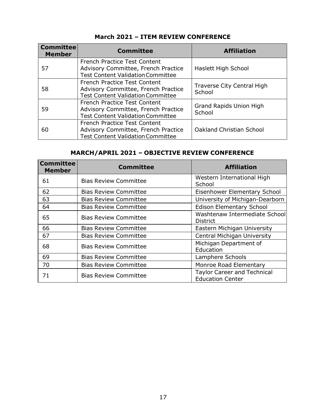| <b>Committee</b><br><b>Member</b> | <b>Committee</b>                                                                                                | <b>Affiliation</b>                       |
|-----------------------------------|-----------------------------------------------------------------------------------------------------------------|------------------------------------------|
| 57                                | French Practice Test Content<br>Advisory Committee, French Practice<br><b>Test Content Validation Committee</b> | Haslett High School                      |
| 58                                | French Practice Test Content<br>Advisory Committee, French Practice<br><b>Test Content Validation Committee</b> | Traverse City Central High<br>School     |
| 59                                | French Practice Test Content<br>Advisory Committee, French Practice<br><b>Test Content Validation Committee</b> | <b>Grand Rapids Union High</b><br>School |
| 60                                | French Practice Test Content<br>Advisory Committee, French Practice<br><b>Test Content Validation Committee</b> | <b>Oakland Christian School</b>          |

# **March 2021 – ITEM REVIEW CONFERENCE**

# **MARCH/APRIL 2021 – OBJECTIVE REVIEW CONFERENCE**

| <b>Committee</b><br><b>Member</b> | <b>Committee</b>             | <b>Affiliation</b>                                            |
|-----------------------------------|------------------------------|---------------------------------------------------------------|
| 61                                | <b>Bias Review Committee</b> | Western International High<br>School                          |
| 62                                | <b>Bias Review Committee</b> | Eisenhower Elementary School                                  |
| 63                                | <b>Bias Review Committee</b> | University of Michigan-Dearborn                               |
| 64                                | <b>Bias Review Committee</b> | <b>Edison Elementary School</b>                               |
| 65                                | <b>Bias Review Committee</b> | Washtenaw Intermediate School<br><b>District</b>              |
| 66                                | <b>Bias Review Committee</b> | Eastern Michigan University                                   |
| 67                                | <b>Bias Review Committee</b> | <b>Central Michigan University</b>                            |
| 68                                | <b>Bias Review Committee</b> | Michigan Department of<br>Education                           |
| 69                                | <b>Bias Review Committee</b> | Lamphere Schools                                              |
| 70                                | <b>Bias Review Committee</b> | Monroe Road Elementary                                        |
| 71                                | <b>Bias Review Committee</b> | <b>Taylor Career and Technical</b><br><b>Education Center</b> |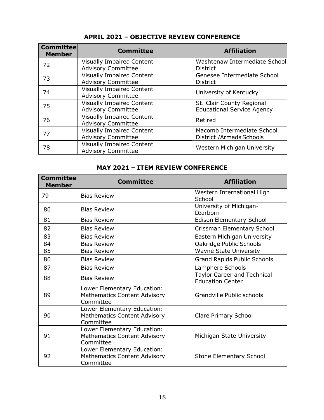| <b>Committee</b><br><b>Member</b> | <b>Committee</b>                                              | <b>Affiliation</b>                                             |
|-----------------------------------|---------------------------------------------------------------|----------------------------------------------------------------|
| 72                                | <b>Visually Impaired Content</b><br><b>Advisory Committee</b> | Washtenaw Intermediate School<br><b>District</b>               |
| 73                                | <b>Visually Impaired Content</b><br><b>Advisory Committee</b> | Genesee Intermediate School<br><b>District</b>                 |
| 74                                | <b>Visually Impaired Content</b><br><b>Advisory Committee</b> | University of Kentucky                                         |
| 75                                | <b>Visually Impaired Content</b><br><b>Advisory Committee</b> | St. Clair County Regional<br><b>Educational Service Agency</b> |
| 76                                | <b>Visually Impaired Content</b><br><b>Advisory Committee</b> | Retired                                                        |
| 77                                | <b>Visually Impaired Content</b><br><b>Advisory Committee</b> | Macomb Intermediate School<br>District /Armada Schools         |
| 78                                | <b>Visually Impaired Content</b><br><b>Advisory Committee</b> | Western Michigan University                                    |

# **APRIL 2021 – OBJECTIVE REVIEW CONFERENCE**

#### **MAY 2021 – ITEM REVIEW CONFERENCE**

| <b>Committee</b><br><b>Member</b> | <b>Committee</b>                                                                | <b>Affiliation</b>                                            |
|-----------------------------------|---------------------------------------------------------------------------------|---------------------------------------------------------------|
| 79                                | <b>Bias Review</b>                                                              | Western International High<br>School                          |
| 80                                | <b>Bias Review</b>                                                              | University of Michigan-<br>Dearborn                           |
| 81                                | <b>Bias Review</b>                                                              | <b>Edison Elementary School</b>                               |
| 82                                | <b>Bias Review</b>                                                              | Crissman Elementary School                                    |
| 83                                | <b>Bias Review</b>                                                              | Eastern Michigan University                                   |
| 84                                | <b>Bias Review</b>                                                              | Oakridge Public Schools                                       |
| 85                                | <b>Bias Review</b>                                                              | <b>Wayne State University</b>                                 |
| 86                                | <b>Bias Review</b>                                                              | <b>Grand Rapids Public Schools</b>                            |
| 87                                | <b>Bias Review</b>                                                              | Lamphere Schools                                              |
| 88                                | <b>Bias Review</b>                                                              | <b>Taylor Career and Technical</b><br><b>Education Center</b> |
| 89                                | Lower Elementary Education:<br><b>Mathematics Content Advisory</b><br>Committee | Grandville Public schools                                     |
| 90                                | Lower Elementary Education:<br><b>Mathematics Content Advisory</b><br>Committee | <b>Clare Primary School</b>                                   |
| 91                                | Lower Elementary Education:<br><b>Mathematics Content Advisory</b><br>Committee | Michigan State University                                     |
| 92                                | Lower Elementary Education:<br><b>Mathematics Content Advisory</b><br>Committee | Stone Elementary School                                       |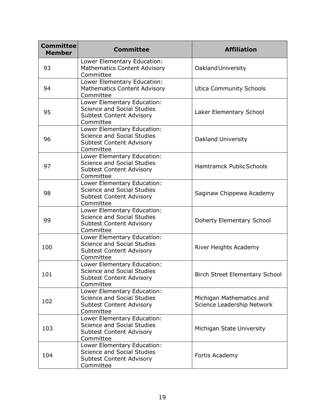| <b>Committee</b><br><b>Member</b> | <b>Committee</b>                                                                                                 | <b>Affiliation</b>                                     |
|-----------------------------------|------------------------------------------------------------------------------------------------------------------|--------------------------------------------------------|
| 93                                | Lower Elementary Education:<br><b>Mathematics Content Advisory</b><br>Committee                                  | Oakland University                                     |
| 94                                | Lower Elementary Education:<br><b>Mathematics Content Advisory</b><br>Committee                                  | <b>Utica Community Schools</b>                         |
| 95                                | Lower Elementary Education:<br>Science and Social Studies<br><b>Subtest Content Advisory</b><br>Committee        | Laker Elementary School                                |
| 96                                | Lower Elementary Education:<br>Science and Social Studies<br>Subtest Content Advisory<br>Committee               | <b>Oakland University</b>                              |
| 97                                | Lower Elementary Education:<br><b>Science and Social Studies</b><br><b>Subtest Content Advisory</b><br>Committee | <b>Hamtramck Public Schools</b>                        |
| 98                                | Lower Elementary Education:<br><b>Science and Social Studies</b><br><b>Subtest Content Advisory</b><br>Committee | Saginaw Chippewa Academy                               |
| 99                                | Lower Elementary Education:<br><b>Science and Social Studies</b><br>Subtest Content Advisory<br>Committee        | Doherty Elementary School                              |
| 100                               | Lower Elementary Education:<br><b>Science and Social Studies</b><br><b>Subtest Content Advisory</b><br>Committee | River Heights Academy                                  |
| 101                               | Lower Elementary Education:<br><b>Science and Social Studies</b><br>Subtest Content Advisory<br>Committee        | <b>Birch Street Elementary School</b>                  |
| 102                               | Lower Elementary Education:<br>Science and Social Studies<br><b>Subtest Content Advisory</b><br>Committee        | Michigan Mathematics and<br>Science Leadership Network |
| 103                               | Lower Elementary Education:<br><b>Science and Social Studies</b><br><b>Subtest Content Advisory</b><br>Committee | Michigan State University                              |
| 104                               | Lower Elementary Education:<br><b>Science and Social Studies</b><br><b>Subtest Content Advisory</b><br>Committee | Fortis Academy                                         |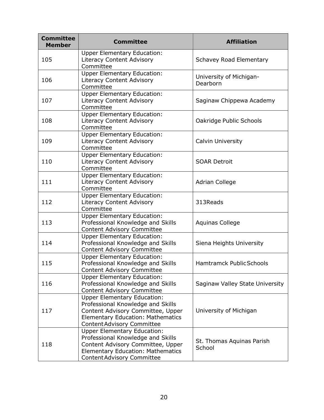| <b>Committee</b><br><b>Member</b> | <b>Committee</b>                                                                                                                                                                              | <b>Affiliation</b>                  |
|-----------------------------------|-----------------------------------------------------------------------------------------------------------------------------------------------------------------------------------------------|-------------------------------------|
| 105                               | <b>Upper Elementary Education:</b><br><b>Literacy Content Advisory</b><br>Committee                                                                                                           | <b>Schavey Road Elementary</b>      |
| 106                               | <b>Upper Elementary Education:</b><br><b>Literacy Content Advisory</b><br>Committee                                                                                                           | University of Michigan-<br>Dearborn |
| 107                               | <b>Upper Elementary Education:</b><br>Literacy Content Advisory<br>Committee                                                                                                                  | Saginaw Chippewa Academy            |
| 108                               | <b>Upper Elementary Education:</b><br>Literacy Content Advisory<br>Committee                                                                                                                  | Oakridge Public Schools             |
| 109                               | <b>Upper Elementary Education:</b><br>Literacy Content Advisory<br>Committee                                                                                                                  | <b>Calvin University</b>            |
| 110                               | <b>Upper Elementary Education:</b><br>Literacy Content Advisory<br>Committee                                                                                                                  | <b>SOAR Detroit</b>                 |
| 111                               | <b>Upper Elementary Education:</b><br><b>Literacy Content Advisory</b><br>Committee                                                                                                           | <b>Adrian College</b>               |
| 112                               | <b>Upper Elementary Education:</b><br><b>Literacy Content Advisory</b><br>Committee                                                                                                           | 313Reads                            |
| 113                               | <b>Upper Elementary Education:</b><br>Professional Knowledge and Skills<br>Content Advisory Committee                                                                                         | <b>Aquinas College</b>              |
| 114                               | <b>Upper Elementary Education:</b><br>Professional Knowledge and Skills<br>Content Advisory Committee                                                                                         | Siena Heights University            |
| 115                               | <b>Upper Elementary Education:</b><br>Professional Knowledge and Skills<br>Content Advisory Committee                                                                                         | <b>Hamtramck Public Schools</b>     |
| 116                               | <b>Upper Elementary Education:</b><br>Professional Knowledge and Skills<br>Content Advisory Committee                                                                                         | Saginaw Valley State University     |
| 117                               | <b>Upper Elementary Education:</b><br>Professional Knowledge and Skills<br>Content Advisory Committee, Upper<br><b>Elementary Education: Mathematics</b><br><b>Content Advisory Committee</b> | University of Michigan              |
| 118                               | <b>Upper Elementary Education:</b><br>Professional Knowledge and Skills<br>Content Advisory Committee, Upper<br>Elementary Education: Mathematics<br><b>Content Advisory Committee</b>        | St. Thomas Aquinas Parish<br>School |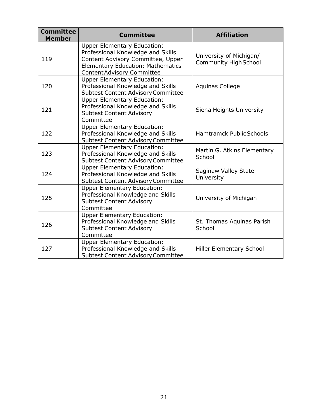| <b>Committee</b><br><b>Member</b> | <b>Committee</b>                                                                                                                                                                       | <b>Affiliation</b>                                      |
|-----------------------------------|----------------------------------------------------------------------------------------------------------------------------------------------------------------------------------------|---------------------------------------------------------|
| 119                               | <b>Upper Elementary Education:</b><br>Professional Knowledge and Skills<br>Content Advisory Committee, Upper<br>Elementary Education: Mathematics<br><b>Content Advisory Committee</b> | University of Michigan/<br><b>Community High School</b> |
| 120                               | <b>Upper Elementary Education:</b><br>Professional Knowledge and Skills<br><b>Subtest Content Advisory Committee</b>                                                                   | <b>Aquinas College</b>                                  |
| 121                               | <b>Upper Elementary Education:</b><br>Professional Knowledge and Skills<br><b>Subtest Content Advisory</b><br>Committee                                                                | Siena Heights University                                |
| 122                               | <b>Upper Elementary Education:</b><br>Professional Knowledge and Skills<br><b>Subtest Content Advisory Committee</b>                                                                   | <b>Hamtramck Public Schools</b>                         |
| 123                               | <b>Upper Elementary Education:</b><br>Professional Knowledge and Skills<br><b>Subtest Content Advisory Committee</b>                                                                   | Martin G. Atkins Elementary<br>School                   |
| 124                               | <b>Upper Elementary Education:</b><br>Professional Knowledge and Skills<br><b>Subtest Content Advisory Committee</b>                                                                   | Saginaw Valley State<br>University                      |
| 125                               | <b>Upper Elementary Education:</b><br>Professional Knowledge and Skills<br><b>Subtest Content Advisory</b><br>Committee                                                                | University of Michigan                                  |
| 126                               | <b>Upper Elementary Education:</b><br>Professional Knowledge and Skills<br><b>Subtest Content Advisory</b><br>Committee                                                                | St. Thomas Aquinas Parish<br>School                     |
| 127                               | <b>Upper Elementary Education:</b><br>Professional Knowledge and Skills<br><b>Subtest Content Advisory Committee</b>                                                                   | <b>Hiller Elementary School</b>                         |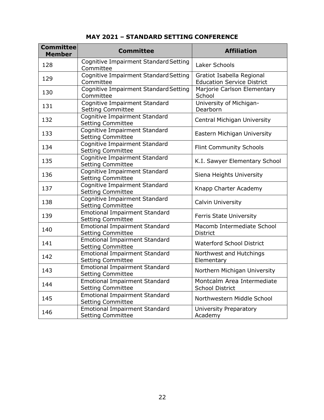| <b>Committee</b><br><b>Member</b> | <b>Committee</b>                                                 | <b>Affiliation</b>                                             |
|-----------------------------------|------------------------------------------------------------------|----------------------------------------------------------------|
| 128                               | Cognitive Impairment Standard Setting<br>Committee               | Laker Schools                                                  |
| 129                               | Cognitive Impairment Standard Setting<br>Committee               | Gratiot Isabella Regional<br><b>Education Service District</b> |
| 130                               | Cognitive Impairment Standard Setting<br>Committee               | Marjorie Carlson Elementary<br>School                          |
| 131                               | <b>Cognitive Impairment Standard</b><br><b>Setting Committee</b> | University of Michigan-<br>Dearborn                            |
| 132                               | Cognitive Impairment Standard<br><b>Setting Committee</b>        | Central Michigan University                                    |
| 133                               | Cognitive Impairment Standard<br><b>Setting Committee</b>        | Eastern Michigan University                                    |
| 134                               | <b>Cognitive Impairment Standard</b><br><b>Setting Committee</b> | <b>Flint Community Schools</b>                                 |
| 135                               | <b>Cognitive Impairment Standard</b><br><b>Setting Committee</b> | K.I. Sawyer Elementary School                                  |
| 136                               | <b>Cognitive Impairment Standard</b><br><b>Setting Committee</b> | Siena Heights University                                       |
| 137                               | <b>Cognitive Impairment Standard</b><br><b>Setting Committee</b> | Knapp Charter Academy                                          |
| 138                               | Cognitive Impairment Standard<br><b>Setting Committee</b>        | Calvin University                                              |
| 139                               | <b>Emotional Impairment Standard</b><br><b>Setting Committee</b> | <b>Ferris State University</b>                                 |
| 140                               | <b>Emotional Impairment Standard</b><br><b>Setting Committee</b> | Macomb Intermediate School<br>District                         |
| 141                               | <b>Emotional Impairment Standard</b><br><b>Setting Committee</b> | <b>Waterford School District</b>                               |
| 142                               | <b>Emotional Impairment Standard</b><br><b>Setting Committee</b> | Northwest and Hutchings<br>Elementary                          |
| 143                               | <b>Emotional Impairment Standard</b><br><b>Setting Committee</b> | Northern Michigan University                                   |
| 144                               | <b>Emotional Impairment Standard</b><br><b>Setting Committee</b> | Montcalm Area Intermediate<br><b>School District</b>           |
| 145                               | <b>Emotional Impairment Standard</b><br><b>Setting Committee</b> | Northwestern Middle School                                     |
| 146                               | <b>Emotional Impairment Standard</b><br><b>Setting Committee</b> | University Preparatory<br>Academy                              |

**MAY 2021 – STANDARD SETTING CONFERENCE**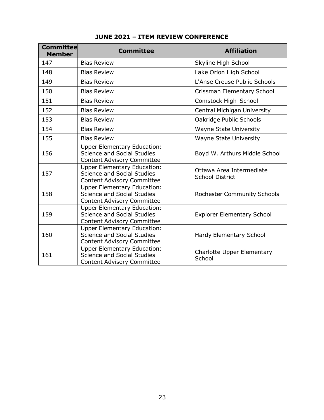| <b>Committee</b><br><b>Member</b> | <b>Committee</b>                                                                                             | <b>Affiliation</b>                                 |
|-----------------------------------|--------------------------------------------------------------------------------------------------------------|----------------------------------------------------|
| 147                               | <b>Bias Review</b>                                                                                           | Skyline High School                                |
| 148                               | <b>Bias Review</b>                                                                                           | Lake Orion High School                             |
| 149                               | <b>Bias Review</b>                                                                                           | L'Anse Creuse Public Schools                       |
| 150                               | <b>Bias Review</b>                                                                                           | Crissman Elementary School                         |
| 151                               | <b>Bias Review</b>                                                                                           | Comstock High School                               |
| 152                               | <b>Bias Review</b>                                                                                           | Central Michigan University                        |
| 153                               | <b>Bias Review</b>                                                                                           | Oakridge Public Schools                            |
| 154                               | <b>Bias Review</b>                                                                                           | <b>Wayne State University</b>                      |
| 155                               | <b>Bias Review</b>                                                                                           | <b>Wayne State University</b>                      |
| 156                               | <b>Upper Elementary Education:</b><br><b>Science and Social Studies</b><br><b>Content Advisory Committee</b> | Boyd W. Arthurs Middle School                      |
| 157                               | <b>Upper Elementary Education:</b><br><b>Science and Social Studies</b><br><b>Content Advisory Committee</b> | Ottawa Area Intermediate<br><b>School District</b> |
| 158                               | <b>Upper Elementary Education:</b><br><b>Science and Social Studies</b><br><b>Content Advisory Committee</b> | <b>Rochester Community Schools</b>                 |
| 159                               | <b>Upper Elementary Education:</b><br><b>Science and Social Studies</b><br><b>Content Advisory Committee</b> | <b>Explorer Elementary School</b>                  |
| 160                               | <b>Upper Elementary Education:</b><br><b>Science and Social Studies</b><br><b>Content Advisory Committee</b> | Hardy Elementary School                            |
| 161                               | <b>Upper Elementary Education:</b><br>Science and Social Studies<br><b>Content Advisory Committee</b>        | Charlotte Upper Elementary<br>School               |

# **JUNE 2021 – ITEM REVIEW CONFERENCE**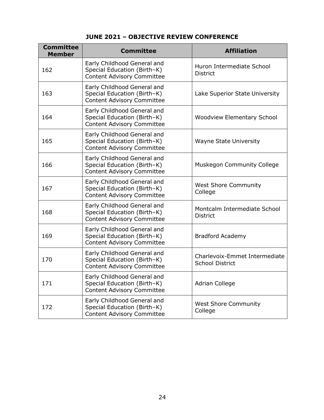# **JUNE 2021 – OBJECTIVE REVIEW CONFERENCE**

| <b>Committee</b><br><b>Member</b> | <b>Committee</b>                                                                                | <b>Affiliation</b>                                      |
|-----------------------------------|-------------------------------------------------------------------------------------------------|---------------------------------------------------------|
| 162                               | Early Childhood General and<br>Special Education (Birth-K)<br><b>Content Advisory Committee</b> | Huron Intermediate School<br><b>District</b>            |
| 163                               | Early Childhood General and<br>Special Education (Birth-K)<br><b>Content Advisory Committee</b> | Lake Superior State University                          |
| 164                               | Early Childhood General and<br>Special Education (Birth-K)<br><b>Content Advisory Committee</b> | <b>Woodview Elementary School</b>                       |
| 165                               | Early Childhood General and<br>Special Education (Birth-K)<br><b>Content Advisory Committee</b> | <b>Wayne State University</b>                           |
| 166                               | Early Childhood General and<br>Special Education (Birth-K)<br><b>Content Advisory Committee</b> | <b>Muskegon Community College</b>                       |
| 167                               | Early Childhood General and<br>Special Education (Birth-K)<br><b>Content Advisory Committee</b> | <b>West Shore Community</b><br>College                  |
| 168                               | Early Childhood General and<br>Special Education (Birth-K)<br><b>Content Advisory Committee</b> | Montcalm Intermediate School<br><b>District</b>         |
| 169                               | Early Childhood General and<br>Special Education (Birth-K)<br><b>Content Advisory Committee</b> | <b>Bradford Academy</b>                                 |
| 170                               | Early Childhood General and<br>Special Education (Birth-K)<br><b>Content Advisory Committee</b> | Charlevoix-Emmet Intermediate<br><b>School District</b> |
| 171                               | Early Childhood General and<br>Special Education (Birth-K)<br><b>Content Advisory Committee</b> | <b>Adrian College</b>                                   |
| 172                               | Early Childhood General and<br>Special Education (Birth-K)<br><b>Content Advisory Committee</b> | <b>West Shore Community</b><br>College                  |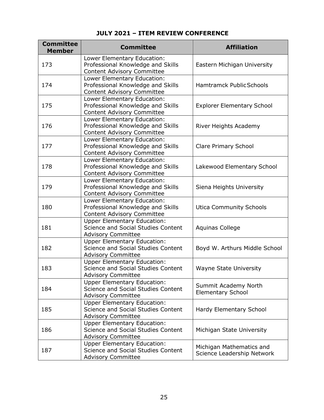| <b>Committee</b><br><b>Member</b> | <b>Committee</b>                                                                                             | <b>Affiliation</b>                                     |
|-----------------------------------|--------------------------------------------------------------------------------------------------------------|--------------------------------------------------------|
| 173                               | Lower Elementary Education:<br>Professional Knowledge and Skills<br>Content Advisory Committee               | Eastern Michigan University                            |
| 174                               | Lower Elementary Education:<br>Professional Knowledge and Skills<br>Content Advisory Committee               | <b>Hamtramck Public Schools</b>                        |
| 175                               | Lower Elementary Education:<br>Professional Knowledge and Skills<br>Content Advisory Committee               | <b>Explorer Elementary School</b>                      |
| 176                               | Lower Elementary Education:<br>Professional Knowledge and Skills<br>Content Advisory Committee               | River Heights Academy                                  |
| 177                               | Lower Elementary Education:<br>Professional Knowledge and Skills<br>Content Advisory Committee               | <b>Clare Primary School</b>                            |
| 178                               | Lower Elementary Education:<br>Professional Knowledge and Skills<br>Content Advisory Committee               | Lakewood Elementary School                             |
| 179                               | Lower Elementary Education:<br>Professional Knowledge and Skills<br>Content Advisory Committee               | Siena Heights University                               |
| 180                               | Lower Elementary Education:<br>Professional Knowledge and Skills<br><b>Content Advisory Committee</b>        | <b>Utica Community Schools</b>                         |
| 181                               | <b>Upper Elementary Education:</b><br>Science and Social Studies Content<br><b>Advisory Committee</b>        | <b>Aquinas College</b>                                 |
| 182                               | <b>Upper Elementary Education:</b><br>Science and Social Studies Content<br><b>Advisory Committee</b>        | Boyd W. Arthurs Middle School                          |
| 183                               | <b>Upper Elementary Education:</b><br>Science and Social Studies Content<br><b>Advisory Committee</b>        | <b>Wayne State University</b>                          |
| 184                               | <b>Upper Elementary Education:</b><br>Science and Social Studies Content<br><b>Advisory Committee</b>        | Summit Academy North<br><b>Elementary School</b>       |
| 185                               | <b>Upper Elementary Education:</b><br><b>Science and Social Studies Content</b><br><b>Advisory Committee</b> | Hardy Elementary School                                |
| 186                               | <b>Upper Elementary Education:</b><br>Science and Social Studies Content<br><b>Advisory Committee</b>        | Michigan State University                              |
| 187                               | <b>Upper Elementary Education:</b><br>Science and Social Studies Content<br><b>Advisory Committee</b>        | Michigan Mathematics and<br>Science Leadership Network |

## **JULY 2021 – ITEM REVIEW CONFERENCE**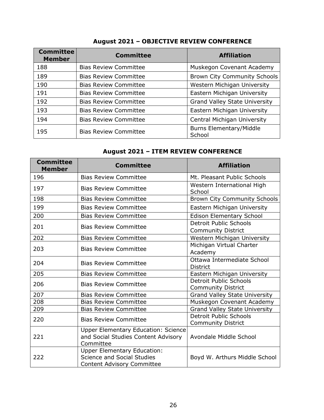| <b>Committee</b><br><b>Member</b> | <b>Committee</b>             | <b>Affiliation</b>                       |
|-----------------------------------|------------------------------|------------------------------------------|
| 188                               | <b>Bias Review Committee</b> | Muskegon Covenant Academy                |
| 189                               | <b>Bias Review Committee</b> | <b>Brown City Community Schools</b>      |
| 190                               | <b>Bias Review Committee</b> | Western Michigan University              |
| 191                               | <b>Bias Review Committee</b> | Eastern Michigan University              |
| 192                               | <b>Bias Review Committee</b> | <b>Grand Valley State University</b>     |
| 193                               | <b>Bias Review Committee</b> | Eastern Michigan University              |
| 194                               | <b>Bias Review Committee</b> | Central Michigan University              |
| 195                               | <b>Bias Review Committee</b> | <b>Burns Elementary/Middle</b><br>School |

# **August 2021 – OBJECTIVE REVIEW CONFERENCE**

# **August 2021 – ITEM REVIEW CONFERENCE**

| <b>Committee</b><br><b>Member</b> | <b>Committee</b>                                                                                      | <b>Affiliation</b>                                         |
|-----------------------------------|-------------------------------------------------------------------------------------------------------|------------------------------------------------------------|
| 196                               | <b>Bias Review Committee</b>                                                                          | Mt. Pleasant Public Schools                                |
| 197                               | <b>Bias Review Committee</b>                                                                          | Western International High<br>School                       |
| 198                               | <b>Bias Review Committee</b>                                                                          | <b>Brown City Community Schools</b>                        |
| 199                               | <b>Bias Review Committee</b>                                                                          | Eastern Michigan University                                |
| 200                               | <b>Bias Review Committee</b>                                                                          | <b>Edison Elementary School</b>                            |
| 201                               | <b>Bias Review Committee</b>                                                                          | <b>Detroit Public Schools</b><br><b>Community District</b> |
| 202                               | <b>Bias Review Committee</b>                                                                          | Western Michigan University                                |
| 203                               | <b>Bias Review Committee</b>                                                                          | Michigan Virtual Charter<br>Academy                        |
| 204                               | <b>Bias Review Committee</b>                                                                          | Ottawa Intermediate School<br><b>District</b>              |
| 205                               | <b>Bias Review Committee</b>                                                                          | Eastern Michigan University                                |
| 206                               | <b>Bias Review Committee</b>                                                                          | <b>Detroit Public Schools</b><br><b>Community District</b> |
| 207                               | <b>Bias Review Committee</b>                                                                          | <b>Grand Valley State University</b>                       |
| 208                               | <b>Bias Review Committee</b>                                                                          | Muskegon Covenant Academy                                  |
| 209                               | <b>Bias Review Committee</b>                                                                          | <b>Grand Valley State University</b>                       |
| 220                               | <b>Bias Review Committee</b>                                                                          | <b>Detroit Public Schools</b><br><b>Community District</b> |
| 221                               | <b>Upper Elementary Education: Science</b><br>and Social Studies Content Advisory<br>Committee        | Avondale Middle School                                     |
| 222                               | <b>Upper Elementary Education:</b><br>Science and Social Studies<br><b>Content Advisory Committee</b> | Boyd W. Arthurs Middle School                              |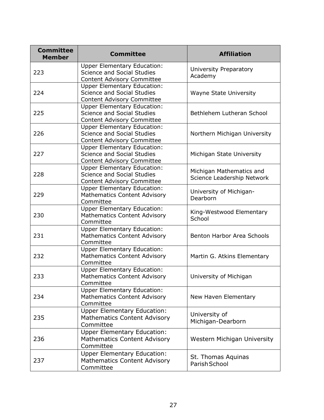| <b>Committee</b><br><b>Member</b> | <b>Committee</b>                                                                                             | <b>Affiliation</b>                                     |
|-----------------------------------|--------------------------------------------------------------------------------------------------------------|--------------------------------------------------------|
| 223                               | <b>Upper Elementary Education:</b><br><b>Science and Social Studies</b><br><b>Content Advisory Committee</b> | University Preparatory<br>Academy                      |
| 224                               | <b>Upper Elementary Education:</b><br><b>Science and Social Studies</b><br><b>Content Advisory Committee</b> | <b>Wayne State University</b>                          |
| 225                               | <b>Upper Elementary Education:</b><br><b>Science and Social Studies</b><br><b>Content Advisory Committee</b> | Bethlehem Lutheran School                              |
| 226                               | <b>Upper Elementary Education:</b><br><b>Science and Social Studies</b><br><b>Content Advisory Committee</b> | Northern Michigan University                           |
| 227                               | <b>Upper Elementary Education:</b><br><b>Science and Social Studies</b><br><b>Content Advisory Committee</b> | Michigan State University                              |
| 228                               | <b>Upper Elementary Education:</b><br><b>Science and Social Studies</b><br><b>Content Advisory Committee</b> | Michigan Mathematics and<br>Science Leadership Network |
| 229                               | <b>Upper Elementary Education:</b><br><b>Mathematics Content Advisory</b><br>Committee                       | University of Michigan-<br>Dearborn                    |
| 230                               | <b>Upper Elementary Education:</b><br><b>Mathematics Content Advisory</b><br>Committee                       | King-Westwood Elementary<br>School                     |
| 231                               | <b>Upper Elementary Education:</b><br><b>Mathematics Content Advisory</b><br>Committee                       | Benton Harbor Area Schools                             |
| 232                               | <b>Upper Elementary Education:</b><br><b>Mathematics Content Advisory</b><br>Committee                       | Martin G. Atkins Elementary                            |
| 233                               | <b>Upper Elementary Education:</b><br><b>Mathematics Content Advisory</b><br>Committee                       | University of Michigan                                 |
| 234                               | <b>Upper Elementary Education:</b><br><b>Mathematics Content Advisory</b><br>Committee                       | New Haven Elementary                                   |
| 235                               | <b>Upper Elementary Education:</b><br><b>Mathematics Content Advisory</b><br>Committee                       | University of<br>Michigan-Dearborn                     |
| 236                               | <b>Upper Elementary Education:</b><br><b>Mathematics Content Advisory</b><br>Committee                       | Western Michigan University                            |
| 237                               | <b>Upper Elementary Education:</b><br><b>Mathematics Content Advisory</b><br>Committee                       | St. Thomas Aquinas<br>Parish School                    |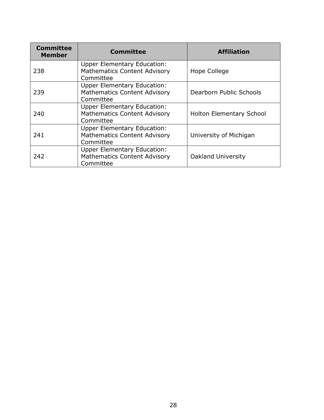| <b>Committee</b><br><b>Member</b> | <b>Committee</b>                                                                       | <b>Affiliation</b>              |
|-----------------------------------|----------------------------------------------------------------------------------------|---------------------------------|
| 238                               | <b>Upper Elementary Education:</b><br><b>Mathematics Content Advisory</b><br>Committee | Hope College                    |
| 239                               | <b>Upper Elementary Education:</b><br><b>Mathematics Content Advisory</b><br>Committee | Dearborn Public Schools         |
| 240                               | <b>Upper Elementary Education:</b><br><b>Mathematics Content Advisory</b><br>Committee | <b>Holton Elementary School</b> |
| 241                               | <b>Upper Elementary Education:</b><br><b>Mathematics Content Advisory</b><br>Committee | University of Michigan          |
| 242                               | <b>Upper Elementary Education:</b><br><b>Mathematics Content Advisory</b><br>Committee | <b>Oakland University</b>       |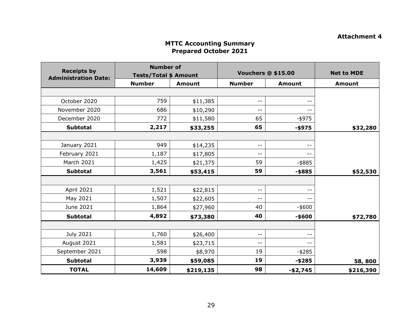## **Attachment 4**

#### **MTTC Accounting Summary Prepared October 2021**

| <b>Receipts by</b>          | <b>Number of</b><br><b>Tests/Total \$ Amount</b> |               | <b>Vouchers @ \$15.00</b> |               | <b>Net to MDE</b> |
|-----------------------------|--------------------------------------------------|---------------|---------------------------|---------------|-------------------|
| <b>Administration Date:</b> | <b>Number</b>                                    | <b>Amount</b> | <b>Number</b>             | <b>Amount</b> | <b>Amount</b>     |
|                             |                                                  |               |                           |               |                   |
| October 2020                | 759                                              | \$11,385      | $ -$                      |               |                   |
| November 2020               | 686                                              | \$10,290      | $ -$                      |               |                   |
| December 2020               | 772                                              | \$11,580      | 65                        | -\$975        |                   |
| <b>Subtotal</b>             | 2,217                                            | \$33,255      | 65                        | $-$ \$975     | \$32,280          |
|                             |                                                  |               |                           |               |                   |
| January 2021                | 949                                              | \$14,235      | $ -$                      | $- -$         |                   |
| February 2021               | 1,187                                            | \$17,805      | $ -$                      | $- -$         |                   |
| <b>March 2021</b>           | 1,425                                            | \$21,375      | 59                        | $-$ \$885     |                   |
| <b>Subtotal</b>             | 3,561                                            | \$53,415      | 59                        | $-$ \$885     | \$52,530          |
|                             |                                                  |               |                           |               |                   |
| <b>April 2021</b>           | 1,521                                            | \$22,815      | $ -$                      |               |                   |
| May 2021                    | 1,507                                            | \$22,605      | $ -$                      | --            |                   |
| June 2021                   | 1,864                                            | \$27,960      | 40                        | $-$ \$600     |                   |
| <b>Subtotal</b>             | 4,892                                            | \$73,380      | 40                        | -\$600        | \$72,780          |
|                             |                                                  |               |                           |               |                   |
| July 2021                   | 1,760                                            | \$26,400      | $\overline{\phantom{m}}$  | --            |                   |
| August 2021                 | 1,581                                            | \$23,715      | $ -$                      | $- -$         |                   |
| September 2021              | 598                                              | \$8,970       | 19                        | $-$ \$285     |                   |
| <b>Subtotal</b>             | 3,939                                            | \$59,085      | 19                        | $-$ \$285     | 58,800            |
| <b>TOTAL</b>                | 14,609                                           | \$219,135     | 98                        | $-$2,745$     | \$216,390         |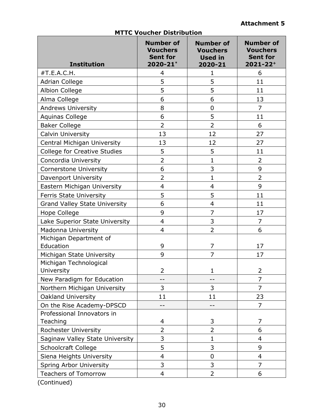| <b>Institution</b>                   | <b>Number of</b><br><b>Vouchers</b><br><b>Sent for</b><br>2020-21* | <b>Number of</b><br><b>Vouchers</b><br><b>Used in</b><br>2020-21 | <b>Number of</b><br><b>Vouchers</b><br><b>Sent for</b><br>$2021 - 22$ <sup>+</sup> |  |  |
|--------------------------------------|--------------------------------------------------------------------|------------------------------------------------------------------|------------------------------------------------------------------------------------|--|--|
| #T.E.A.C.H.                          | 4                                                                  | $\mathbf{1}$                                                     | 6                                                                                  |  |  |
| <b>Adrian College</b>                | 5                                                                  | 5                                                                | 11                                                                                 |  |  |
| <b>Albion College</b>                | 5                                                                  | 5                                                                | 11                                                                                 |  |  |
| Alma College                         | 6                                                                  | 6                                                                | 13                                                                                 |  |  |
| <b>Andrews University</b>            | 8                                                                  | $\mathbf 0$                                                      | $\overline{7}$                                                                     |  |  |
| Aquinas College                      | 6                                                                  | 5                                                                | 11                                                                                 |  |  |
| <b>Baker College</b>                 | $\overline{2}$                                                     | $\overline{2}$                                                   | 6                                                                                  |  |  |
| <b>Calvin University</b>             | 13                                                                 | 12                                                               | 27                                                                                 |  |  |
| Central Michigan University          | 13                                                                 | 12                                                               | 27                                                                                 |  |  |
| <b>College for Creative Studies</b>  | 5                                                                  | 5                                                                | 11                                                                                 |  |  |
| Concordia University                 | $\overline{2}$                                                     | $\mathbf{1}$                                                     | 2                                                                                  |  |  |
| <b>Cornerstone University</b>        | 6                                                                  | 3                                                                | 9                                                                                  |  |  |
| Davenport University                 | $\overline{2}$                                                     | $\mathbf{1}$                                                     | $\overline{2}$                                                                     |  |  |
| Eastern Michigan University          | 4                                                                  | 4                                                                | 9                                                                                  |  |  |
| <b>Ferris State University</b>       | 5                                                                  | 5                                                                | 11                                                                                 |  |  |
| <b>Grand Valley State University</b> | 6                                                                  | $\overline{4}$                                                   | 11                                                                                 |  |  |
| Hope College                         | 9                                                                  | $\overline{7}$                                                   | 17                                                                                 |  |  |
| Lake Superior State University       | 4                                                                  | 3                                                                | 7                                                                                  |  |  |
| Madonna University                   | 4                                                                  | $\overline{2}$                                                   | 6                                                                                  |  |  |
| Michigan Department of<br>Education  | 9                                                                  | 7                                                                | 17                                                                                 |  |  |
| Michigan State University            | 9                                                                  | 7                                                                | 17                                                                                 |  |  |
| Michigan Technological               |                                                                    |                                                                  |                                                                                    |  |  |
| University                           | 2                                                                  | 1                                                                | 2                                                                                  |  |  |
| New Paradigm for Education           | --                                                                 | --                                                               | $\overline{7}$                                                                     |  |  |
| Northern Michigan University         | 3                                                                  | 3                                                                | $\overline{7}$                                                                     |  |  |
| <b>Oakland University</b>            | 11                                                                 | 11                                                               | 23                                                                                 |  |  |
| On the Rise Academy-DPSCD            |                                                                    |                                                                  | 7                                                                                  |  |  |
| Professional Innovators in           |                                                                    |                                                                  |                                                                                    |  |  |
| Teaching                             | 4                                                                  | 3                                                                | 7                                                                                  |  |  |
| Rochester University                 | $\overline{2}$                                                     | $\overline{2}$                                                   | 6                                                                                  |  |  |
| Saginaw Valley State University      | 3                                                                  | 1                                                                | $\overline{4}$                                                                     |  |  |
| <b>Schoolcraft College</b>           | 5                                                                  | 3                                                                | 9                                                                                  |  |  |
| Siena Heights University             | 4                                                                  | $\mathbf 0$                                                      | 4                                                                                  |  |  |
| Spring Arbor University              | 3                                                                  | 3                                                                | $\overline{7}$                                                                     |  |  |
| <b>Teachers of Tomorrow</b>          | 4                                                                  | 2                                                                | 6                                                                                  |  |  |
| (Continued)                          |                                                                    |                                                                  |                                                                                    |  |  |

## **MTTC Voucher Distribution**